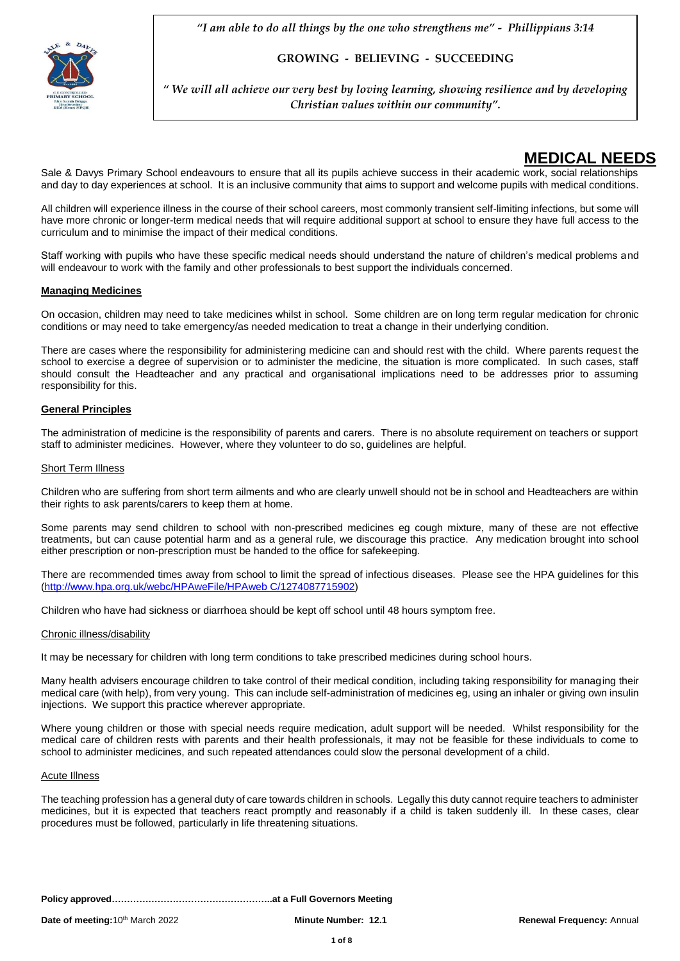

**GROWING - BELIEVING - SUCCEEDING** 

*" We will all achieve our very best by loving learning, showing resilience and by developing Christian values within our community".*

## **MEDICAL NEEDS**

Sale & Davys Primary School endeavours to ensure that all its pupils achieve success in their academic work, social relationships and day to day experiences at school. It is an inclusive community that aims to support and welcome pupils with medical conditions.

All children will experience illness in the course of their school careers, most commonly transient self-limiting infections, but some will have more chronic or longer-term medical needs that will require additional support at school to ensure they have full access to the curriculum and to minimise the impact of their medical conditions.

Staff working with pupils who have these specific medical needs should understand the nature of children's medical problems and will endeavour to work with the family and other professionals to best support the individuals concerned.

## **Managing Medicines**

On occasion, children may need to take medicines whilst in school. Some children are on long term regular medication for chronic conditions or may need to take emergency/as needed medication to treat a change in their underlying condition.

There are cases where the responsibility for administering medicine can and should rest with the child. Where parents request the school to exercise a degree of supervision or to administer the medicine, the situation is more complicated. In such cases, staff should consult the Headteacher and any practical and organisational implications need to be addresses prior to assuming responsibility for this.

## **General Principles**

The administration of medicine is the responsibility of parents and carers. There is no absolute requirement on teachers or support staff to administer medicines. However, where they volunteer to do so, guidelines are helpful.

### **Short Term Illness**

Children who are suffering from short term ailments and who are clearly unwell should not be in school and Headteachers are within their rights to ask parents/carers to keep them at home.

Some parents may send children to school with non-prescribed medicines eg cough mixture, many of these are not effective treatments, but can cause potential harm and as a general rule, we discourage this practice. Any medication brought into school either prescription or non-prescription must be handed to the office for safekeeping.

There are recommended times away from school to limit the spread of infectious diseases. Please see the HPA guidelines for this [\(http://www.hpa.org.uk/webc/HPAweFile/HPAweb C/1274087715902\)](http://www.hpa.org.uk/webc/HPAweFile/HPAweb%20C/1274087715902)

Children who have had sickness or diarrhoea should be kept off school until 48 hours symptom free.

### Chronic illness/disability

It may be necessary for children with long term conditions to take prescribed medicines during school hours.

Many health advisers encourage children to take control of their medical condition, including taking responsibility for managing their medical care (with help), from very young. This can include self-administration of medicines eg, using an inhaler or giving own insulin injections. We support this practice wherever appropriate.

Where young children or those with special needs require medication, adult support will be needed. Whilst responsibility for the medical care of children rests with parents and their health professionals, it may not be feasible for these individuals to come to school to administer medicines, and such repeated attendances could slow the personal development of a child.

#### Acute Illness

The teaching profession has a general duty of care towards children in schools. Legally this duty cannot require teachers to administer medicines, but it is expected that teachers react promptly and reasonably if a child is taken suddenly ill. In these cases, clear procedures must be followed, particularly in life threatening situations.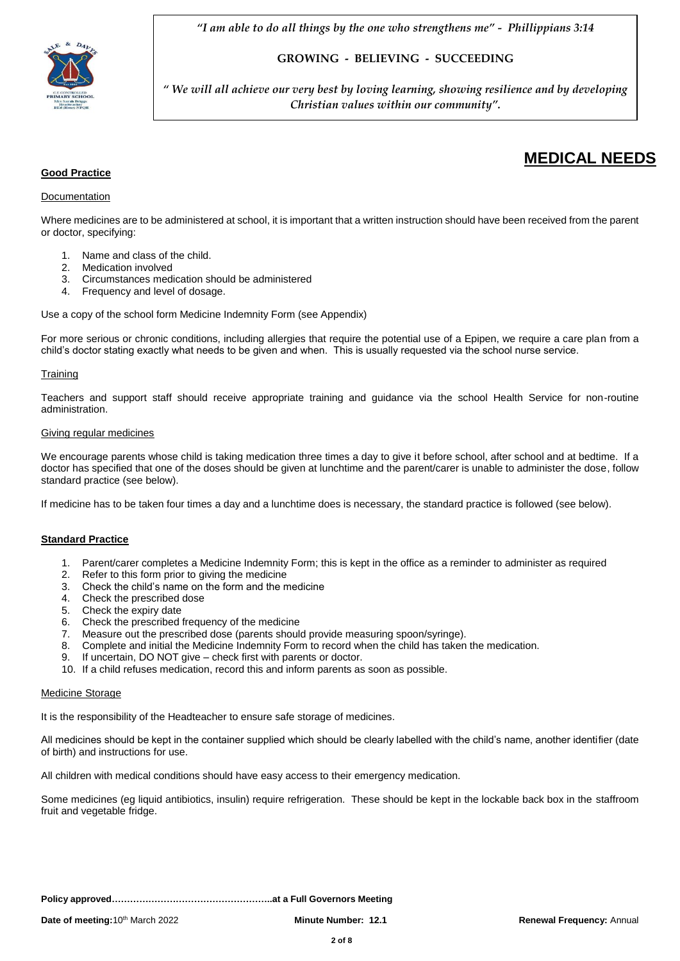

**GROWING - BELIEVING - SUCCEEDING** 

*" We will all achieve our very best by loving learning, showing resilience and by developing Christian values within our community".*

## **Good Practice**

## Documentation

Where medicines are to be administered at school, it is important that a written instruction should have been received from the parent or doctor, specifying:

- 1. Name and class of the child.
- 2. Medication involved
- 3. Circumstances medication should be administered
- 4. Frequency and level of dosage.

Use a copy of the school form Medicine Indemnity Form (see Appendix)

For more serious or chronic conditions, including allergies that require the potential use of a Epipen, we require a care plan from a child's doctor stating exactly what needs to be given and when. This is usually requested via the school nurse service.

## **Training**

Teachers and support staff should receive appropriate training and guidance via the school Health Service for non-routine administration.

### Giving regular medicines

We encourage parents whose child is taking medication three times a day to give it before school, after school and at bedtime. If a doctor has specified that one of the doses should be given at lunchtime and the parent/carer is unable to administer the dose, follow standard practice (see below).

If medicine has to be taken four times a day and a lunchtime does is necessary, the standard practice is followed (see below).

### **Standard Practice**

- 1. Parent/carer completes a Medicine Indemnity Form; this is kept in the office as a reminder to administer as required
- 2. Refer to this form prior to giving the medicine
- 3. Check the child's name on the form and the medicine
- 4. Check the prescribed dose
- 5. Check the expiry date
- 6. Check the prescribed frequency of the medicine
- 7. Measure out the prescribed dose (parents should provide measuring spoon/syringe).
- 8. Complete and initial the Medicine Indemnity Form to record when the child has taken the medication.
- 9. If uncertain, DO NOT give check first with parents or doctor.
- 10. If a child refuses medication, record this and inform parents as soon as possible.

### Medicine Storage

It is the responsibility of the Headteacher to ensure safe storage of medicines.

All medicines should be kept in the container supplied which should be clearly labelled with the child's name, another identifier (date of birth) and instructions for use.

All children with medical conditions should have easy access to their emergency medication.

Some medicines (eg liquid antibiotics, insulin) require refrigeration. These should be kept in the lockable back box in the staffroom fruit and vegetable fridge.

**MEDICAL NEEDS**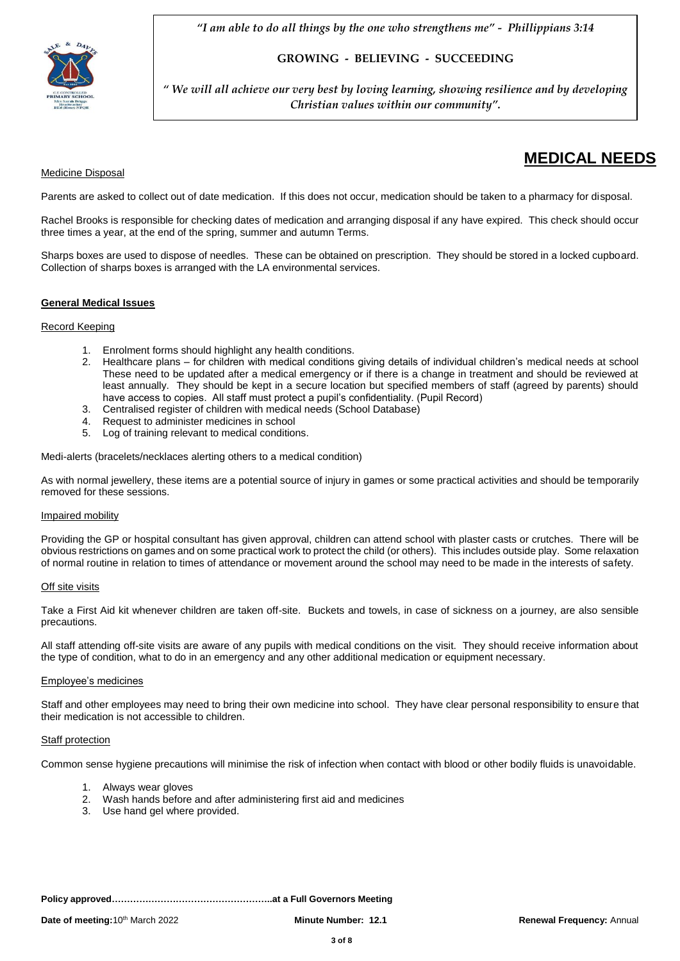

**GROWING - BELIEVING - SUCCEEDING** 

*" We will all achieve our very best by loving learning, showing resilience and by developing Christian values within our community".*

## Medicine Disposal

# **MEDICAL NEEDS**

Parents are asked to collect out of date medication. If this does not occur, medication should be taken to a pharmacy for disposal.

Rachel Brooks is responsible for checking dates of medication and arranging disposal if any have expired. This check should occur three times a year, at the end of the spring, summer and autumn Terms.

Sharps boxes are used to dispose of needles. These can be obtained on prescription. They should be stored in a locked cupboard. Collection of sharps boxes is arranged with the LA environmental services.

## **General Medical Issues**

### Record Keeping

- 1. Enrolment forms should highlight any health conditions.
- 2. Healthcare plans for children with medical conditions giving details of individual children's medical needs at school These need to be updated after a medical emergency or if there is a change in treatment and should be reviewed at least annually. They should be kept in a secure location but specified members of staff (agreed by parents) should have access to copies. All staff must protect a pupil's confidentiality. (Pupil Record)
- 3. Centralised register of children with medical needs (School Database)<br>4. Request to administer medicines in school
- 4. Request to administer medicines in school
- 5. Log of training relevant to medical conditions.

Medi-alerts (bracelets/necklaces alerting others to a medical condition)

As with normal jewellery, these items are a potential source of injury in games or some practical activities and should be temporarily removed for these sessions.

### Impaired mobility

Providing the GP or hospital consultant has given approval, children can attend school with plaster casts or crutches. There will be obvious restrictions on games and on some practical work to protect the child (or others). This includes outside play. Some relaxation of normal routine in relation to times of attendance or movement around the school may need to be made in the interests of safety.

### **Off site visits**

Take a First Aid kit whenever children are taken off-site. Buckets and towels, in case of sickness on a journey, are also sensible precautions.

All staff attending off-site visits are aware of any pupils with medical conditions on the visit. They should receive information about the type of condition, what to do in an emergency and any other additional medication or equipment necessary.

#### Employee's medicines

Staff and other employees may need to bring their own medicine into school. They have clear personal responsibility to ensure that their medication is not accessible to children.

### Staff protection

Common sense hygiene precautions will minimise the risk of infection when contact with blood or other bodily fluids is unavoidable.

- 1. Always wear gloves
- 2. Wash hands before and after administering first aid and medicines
- 3. Use hand gel where provided.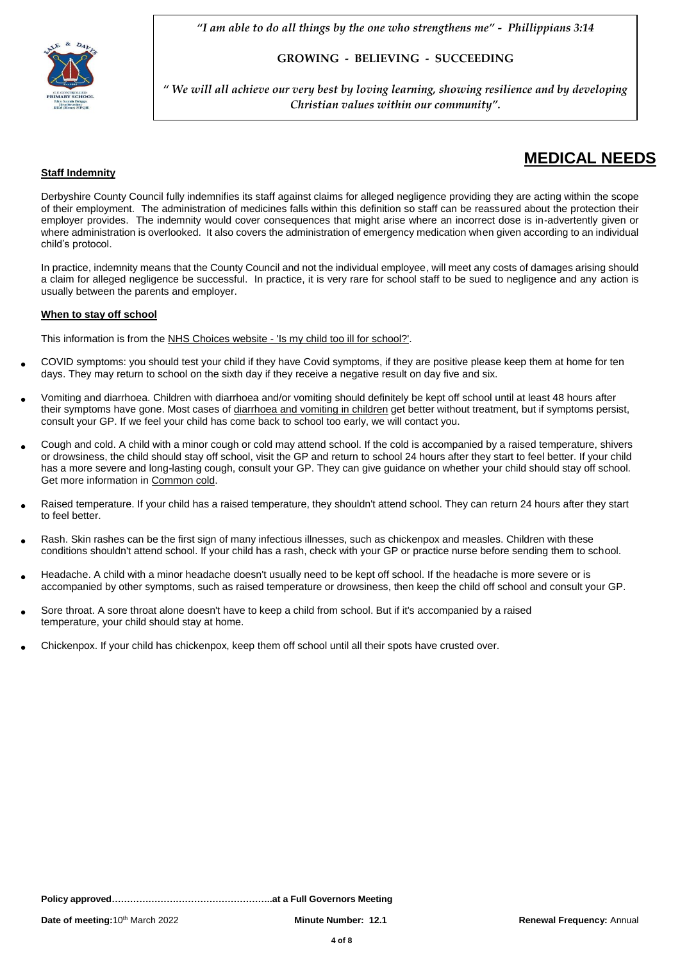

**GROWING - BELIEVING - SUCCEEDING** 

*" We will all achieve our very best by loving learning, showing resilience and by developing Christian values within our community".*

# **MEDICAL NEEDS**

## **Staff Indemnity**

Derbyshire County Council fully indemnifies its staff against claims for alleged negligence providing they are acting within the scope of their employment. The administration of medicines falls within this definition so staff can be reassured about the protection their employer provides. The indemnity would cover consequences that might arise where an incorrect dose is in-advertently given or where administration is overlooked. It also covers the administration of emergency medication when given according to an individual child's protocol.

In practice, indemnity means that the County Council and not the individual employee, will meet any costs of damages arising should a claim for alleged negligence be successful. In practice, it is very rare for school staff to be sued to negligence and any action is usually between the parents and employer.

## **When to stay off school**

This information is from the NHS Choices website - 'Is my child too ill for [school?'.](http://www.nhs.uk/Livewell/Yourchildatschool/Pages/Illness.aspx)

- COVID symptoms: you should test your child if they have Covid symptoms, if they are positive please keep them at home for ten days. They may return to school on the sixth day if they receive a negative result on day five and six.
- Vomiting and diarrhoea. Children with diarrhoea and/or vomiting should definitely be kept off school until at least 48 hours after their symptoms have gone. Most cases of [diarrhoea](http://www.nhs.uk/conditions/rotavirus-gastroenteritis/Pages/Introduction.aspx) and vomiting in children get better without treatment, but if symptoms persist, consult your GP. If we feel your child has come back to school too early, we will contact you.
- Cough and cold. A child with a minor cough or cold may attend school. If the cold is accompanied by a raised temperature, shivers or drowsiness, the child should stay off school, visit the GP and return to school 24 hours after they start to feel better. If your child has a more severe and long-lasting cough, consult your GP. They can give guidance on whether your child should stay off school. Get more information in [Common](http://www.nhs.uk/conditions/cold-common/pages/introduction.aspx) cold.
- Raised temperature. If your child has a raised temperature, they shouldn't attend school. They can return 24 hours after they start to feel better.
- Rash. Skin rashes can be the first sign of many infectious illnesses, such as chickenpox and measles. Children with these conditions shouldn't attend school. If your child has a rash, check with your GP or practice nurse before sending them to school.
- Headache. A child with a minor headache doesn't usually need to be kept off school. If the headache is more severe or is accompanied by other symptoms, such as raised temperature or drowsiness, then keep the child off school and consult your GP.
- Sore throat. A sore throat alone doesn't have to keep a child from school. But if it's accompanied by a raised temperature, your child should stay at home.
- Chickenpox. If your child has chickenpox, keep them off school until all their spots have crusted over.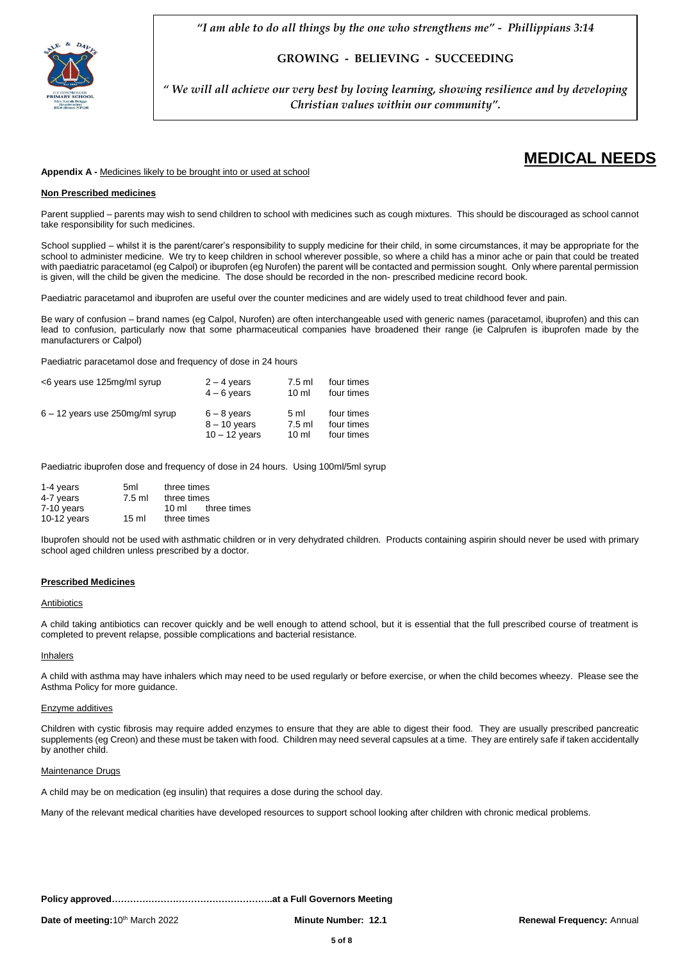

**GROWING - BELIEVING - SUCCEEDING** 

*" We will all achieve our very best by loving learning, showing resilience and by developing Christian values within our community".*

## **MEDICAL NEEDS**

#### **Appendix A -** Medicines likely to be brought into or used at school

#### **Non Prescribed medicines**

Parent supplied – parents may wish to send children to school with medicines such as cough mixtures. This should be discouraged as school cannot take responsibility for such medicines.

School supplied – whilst it is the parent/carer's responsibility to supply medicine for their child, in some circumstances, it may be appropriate for the school to administer medicine. We try to keep children in school wherever possible, so where a child has a minor ache or pain that could be treated with paediatric paracetamol (eg Calpol) or ibuprofen (eg Nurofen) the parent will be contacted and permission sought. Only where parental permission is given, will the child be given the medicine. The dose should be recorded in the non- prescribed medicine record book.

Paediatric paracetamol and ibuprofen are useful over the counter medicines and are widely used to treat childhood fever and pain.

Be wary of confusion – brand names (eg Calpol, Nurofen) are often interchangeable used with generic names (paracetamol, ibuprofen) and this can lead to confusion, particularly now that some pharmaceutical companies have broadened their range (ie Calprufen is ibuprofen made by the manufacturers or Calpol)

Paediatric paracetamol dose and frequency of dose in 24 hours

| <6 years use 125mg/ml syrup        | $2 - 4$ years   | $7.5$ ml        | four times |
|------------------------------------|-----------------|-----------------|------------|
|                                    | $4 - 6$ years   | $10 \mathrm{m}$ | four times |
| $6 - 12$ years use 250 mg/ml syrup | $6 - 8$ years   | 5 <sub>m</sub>  | four times |
|                                    | $8 - 10$ years  | 7.5 ml          | four times |
|                                    | $10 - 12$ years | $10 \mathrm{m}$ | four times |

Paediatric ibuprofen dose and frequency of dose in 24 hours. Using 100ml/5ml syrup

| 1-4 years     | 5 <sub>ml</sub> | three times |             |
|---------------|-----------------|-------------|-------------|
| 4-7 years     | $7.5$ ml        | three times |             |
| $7-10$ years  |                 | 10 ml       | three times |
| $10-12$ years | $15 \text{ ml}$ | three times |             |

Ibuprofen should not be used with asthmatic children or in very dehydrated children. Products containing aspirin should never be used with primary school aged children unless prescribed by a doctor.

#### **Prescribed Medicines**

#### Antibiotics

A child taking antibiotics can recover quickly and be well enough to attend school, but it is essential that the full prescribed course of treatment is completed to prevent relapse, possible complications and bacterial resistance.

#### Inhalers

A child with asthma may have inhalers which may need to be used regularly or before exercise, or when the child becomes wheezy. Please see the Asthma Policy for more guidance.

#### Enzyme additives

Children with cystic fibrosis may require added enzymes to ensure that they are able to digest their food. They are usually prescribed pancreatic supplements (eg Creon) and these must be taken with food. Children may need several capsules at a time. They are entirely safe if taken accidentally by another child.

#### Maintenance Drugs

A child may be on medication (eg insulin) that requires a dose during the school day.

Many of the relevant medical charities have developed resources to support school looking after children with chronic medical problems.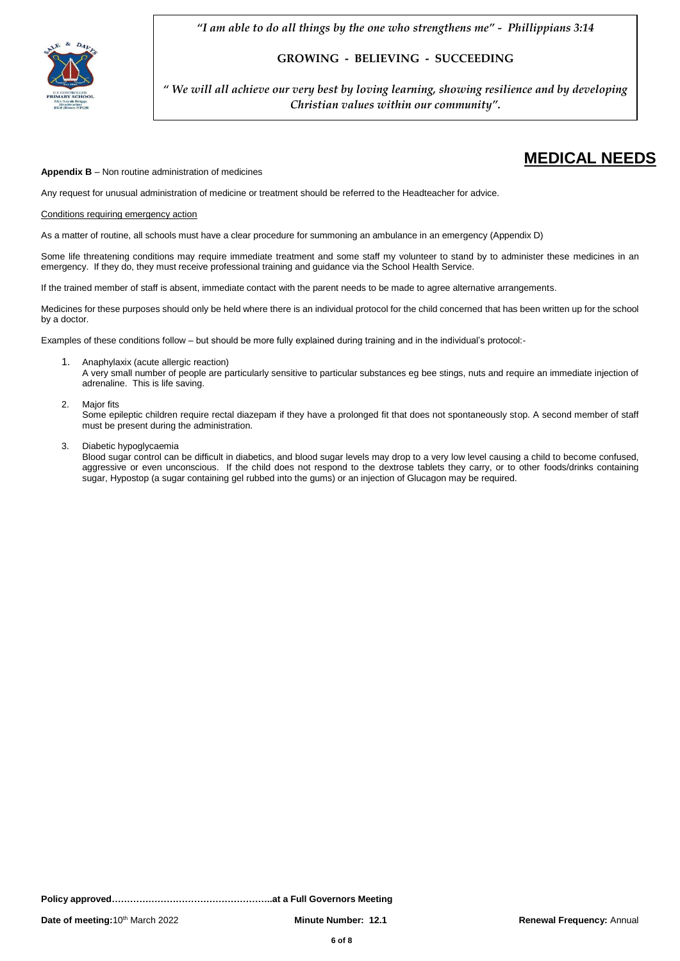

**GROWING - BELIEVING - SUCCEEDING** 

*" We will all achieve our very best by loving learning, showing resilience and by developing Christian values within our community".*

#### **Appendix B** – Non routine administration of medicines

Any request for unusual administration of medicine or treatment should be referred to the Headteacher for advice.

#### Conditions requiring emergency action

As a matter of routine, all schools must have a clear procedure for summoning an ambulance in an emergency (Appendix D)

Some life threatening conditions may require immediate treatment and some staff my volunteer to stand by to administer these medicines in an emergency. If they do, they must receive professional training and guidance via the School Health Service.

If the trained member of staff is absent, immediate contact with the parent needs to be made to agree alternative arrangements.

Medicines for these purposes should only be held where there is an individual protocol for the child concerned that has been written up for the school by a doctor.

Examples of these conditions follow – but should be more fully explained during training and in the individual's protocol:-

1. Anaphylaxix (acute allergic reaction)

A very small number of people are particularly sensitive to particular substances eg bee stings, nuts and require an immediate injection of adrenaline. This is life saving.

#### 2. Major fits

Some epileptic children require rectal diazepam if they have a prolonged fit that does not spontaneously stop. A second member of staff must be present during the administration.

3. Diabetic hypoglycaemia

Blood sugar control can be difficult in diabetics, and blood sugar levels may drop to a very low level causing a child to become confused, aggressive or even unconscious. If the child does not respond to the dextrose tablets they carry, or to other foods/drinks containing sugar, Hypostop (a sugar containing gel rubbed into the gums) or an injection of Glucagon may be required.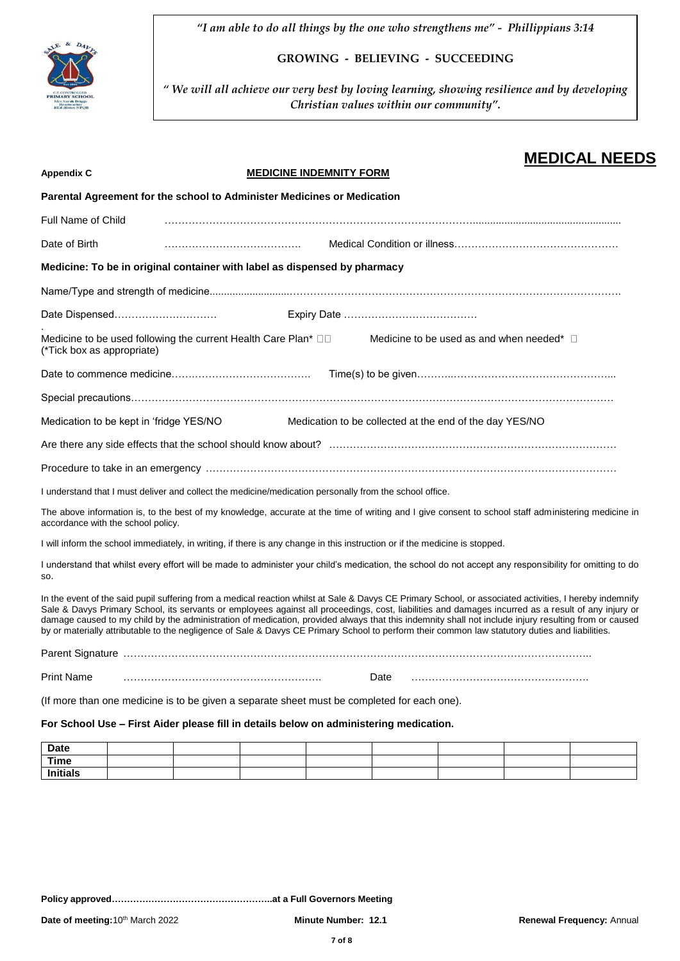

**GROWING - BELIEVING - SUCCEEDING** 

*" We will all achieve our very best by loving learning, showing resilience and by developing Christian values within our community".*

|                                                                                                                                                                                                                                                                                                                                                                                                                                                                                                                                                                                                                           |                                |                                                         |  | <b>MEDICAL NEEDS</b> |
|---------------------------------------------------------------------------------------------------------------------------------------------------------------------------------------------------------------------------------------------------------------------------------------------------------------------------------------------------------------------------------------------------------------------------------------------------------------------------------------------------------------------------------------------------------------------------------------------------------------------------|--------------------------------|---------------------------------------------------------|--|----------------------|
| <b>Appendix C</b>                                                                                                                                                                                                                                                                                                                                                                                                                                                                                                                                                                                                         | <b>MEDICINE INDEMNITY FORM</b> |                                                         |  |                      |
| Parental Agreement for the school to Administer Medicines or Medication                                                                                                                                                                                                                                                                                                                                                                                                                                                                                                                                                   |                                |                                                         |  |                      |
| <b>Full Name of Child</b>                                                                                                                                                                                                                                                                                                                                                                                                                                                                                                                                                                                                 |                                |                                                         |  |                      |
| Date of Birth                                                                                                                                                                                                                                                                                                                                                                                                                                                                                                                                                                                                             |                                |                                                         |  |                      |
| Medicine: To be in original container with label as dispensed by pharmacy                                                                                                                                                                                                                                                                                                                                                                                                                                                                                                                                                 |                                |                                                         |  |                      |
|                                                                                                                                                                                                                                                                                                                                                                                                                                                                                                                                                                                                                           |                                |                                                         |  |                      |
|                                                                                                                                                                                                                                                                                                                                                                                                                                                                                                                                                                                                                           |                                |                                                         |  |                      |
|                                                                                                                                                                                                                                                                                                                                                                                                                                                                                                                                                                                                                           |                                |                                                         |  |                      |
| Medicine to be used following the current Health Care Plan* $\square \square$<br>(*Tick box as appropriate)                                                                                                                                                                                                                                                                                                                                                                                                                                                                                                               |                                | Medicine to be used as and when needed* $\Box$          |  |                      |
|                                                                                                                                                                                                                                                                                                                                                                                                                                                                                                                                                                                                                           |                                |                                                         |  |                      |
|                                                                                                                                                                                                                                                                                                                                                                                                                                                                                                                                                                                                                           |                                |                                                         |  |                      |
| Medication to be kept in 'fridge YES/NO                                                                                                                                                                                                                                                                                                                                                                                                                                                                                                                                                                                   |                                | Medication to be collected at the end of the day YES/NO |  |                      |
|                                                                                                                                                                                                                                                                                                                                                                                                                                                                                                                                                                                                                           |                                |                                                         |  |                      |
|                                                                                                                                                                                                                                                                                                                                                                                                                                                                                                                                                                                                                           |                                |                                                         |  |                      |
| I understand that I must deliver and collect the medicine/medication personally from the school office.                                                                                                                                                                                                                                                                                                                                                                                                                                                                                                                   |                                |                                                         |  |                      |
| The above information is, to the best of my knowledge, accurate at the time of writing and I give consent to school staff administering medicine in<br>accordance with the school policy.                                                                                                                                                                                                                                                                                                                                                                                                                                 |                                |                                                         |  |                      |
| I will inform the school immediately, in writing, if there is any change in this instruction or if the medicine is stopped.                                                                                                                                                                                                                                                                                                                                                                                                                                                                                               |                                |                                                         |  |                      |
| I understand that whilst every effort will be made to administer your child's medication, the school do not accept any responsibility for omitting to do<br>SO.                                                                                                                                                                                                                                                                                                                                                                                                                                                           |                                |                                                         |  |                      |
| In the event of the said pupil suffering from a medical reaction whilst at Sale & Davys CE Primary School, or associated activities, I hereby indemnify<br>Sale & Davys Primary School, its servants or employees against all proceedings, cost, liabilities and damages incurred as a result of any injury or<br>damage caused to my child by the administration of medication, provided always that this indemnity shall not include injury resulting from or caused<br>by or materially attributable to the negligence of Sale & Davys CE Primary School to perform their common law statutory duties and liabilities. |                                |                                                         |  |                      |
|                                                                                                                                                                                                                                                                                                                                                                                                                                                                                                                                                                                                                           |                                |                                                         |  |                      |
| <b>Print Name</b>                                                                                                                                                                                                                                                                                                                                                                                                                                                                                                                                                                                                         |                                | Date                                                    |  |                      |
|                                                                                                                                                                                                                                                                                                                                                                                                                                                                                                                                                                                                                           |                                |                                                         |  |                      |
| (If more than one medicine is to be given a separate sheet must be completed for each one).                                                                                                                                                                                                                                                                                                                                                                                                                                                                                                                               |                                |                                                         |  |                      |
| For School Use - First Aider please fill in details below on administering medication.                                                                                                                                                                                                                                                                                                                                                                                                                                                                                                                                    |                                |                                                         |  |                      |
| <b>Date</b>                                                                                                                                                                                                                                                                                                                                                                                                                                                                                                                                                                                                               |                                |                                                         |  |                      |
| <b>Time</b>                                                                                                                                                                                                                                                                                                                                                                                                                                                                                                                                                                                                               |                                |                                                         |  |                      |

**Initials**